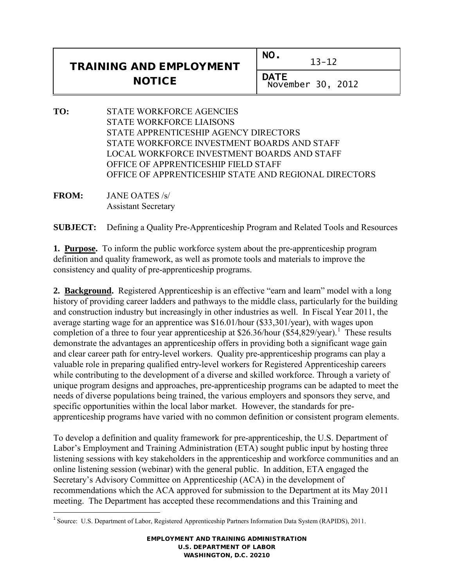| <b>TRAINING AND EMPLOYMENT</b> | NO.<br>$13 - 12$          |
|--------------------------------|---------------------------|
| <b>NOTICE</b>                  | DATE<br>November 30, 2012 |

- **TO:** STATE WORKFORCE AGENCIES STATE WORKFORCE LIAISONS STATE APPRENTICESHIP AGENCY DIRECTORS STATE WORKFORCE INVESTMENT BOARDS AND STAFF LOCAL WORKFORCE INVESTMENT BOARDS AND STAFF OFFICE OF APPRENTICESHIP FIELD STAFF OFFICE OF APPRENTICESHIP STATE AND REGIONAL DIRECTORS
- **FROM:** JANE OATES /s/ Assistant Secretary

**SUBJECT:** Defining a Quality Pre-Apprenticeship Program and Related Tools and Resources

**1. Purpose.** To inform the public workforce system about the pre-apprenticeship program definition and quality framework, as well as promote tools and materials to improve the consistency and quality of pre-apprenticeship programs.

**2. Background.** Registered Apprenticeship is an effective "earn and learn" model with a long history of providing career ladders and pathways to the middle class, particularly for the building and construction industry but increasingly in other industries as well. In Fiscal Year 2011, the average starting wage for an apprentice was \$16.01/hour (\$33,301/year), with wages upon completion of a three to four year apprenticeship at \$26.36/hour  $(\$54,829/year)$ .<sup>[1](#page-0-0)</sup> These results demonstrate the advantages an apprenticeship offers in providing both a significant wage gain and clear career path for entry-level workers. Quality pre-apprenticeship programs can play a valuable role in preparing qualified entry-level workers for Registered Apprenticeship careers while contributing to the development of a diverse and skilled workforce. Through a variety of unique program designs and approaches, pre-apprenticeship programs can be adapted to meet the needs of diverse populations being trained, the various employers and sponsors they serve, and specific opportunities within the local labor market. However, the standards for preapprenticeship programs have varied with no common definition or consistent program elements.

To develop a definition and quality framework for pre-apprenticeship, the U.S. Department of Labor's Employment and Training Administration (ETA) sought public input by hosting three listening sessions with key stakeholders in the apprenticeship and workforce communities and an online listening session (webinar) with the general public. In addition, ETA engaged the Secretary's Advisory Committee on Apprenticeship (ACA) in the development of recommendations which the ACA approved for submission to the Department at its May 2011 meeting. The Department has accepted these recommendations and this Training and

EMPLOYMENT AND TRAINING ADMINISTRATION U.S. DEPARTMENT OF LABOR WASHINGTON, D.C. 20210

<span id="page-0-0"></span> $\overline{a}$ <sup>1</sup> Source: U.S. Department of Labor, Registered Apprenticeship Partners Information Data System (RAPIDS), 2011.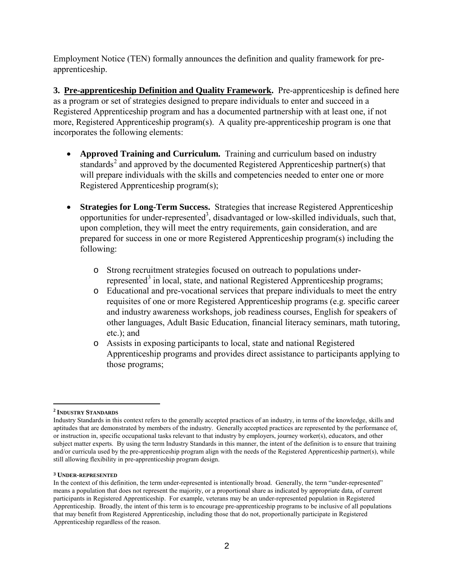Employment Notice (TEN) formally announces the definition and quality framework for preapprenticeship.

**3. Pre-apprenticeship Definition and Quality Framework.** Pre-apprenticeship is defined here as a program or set of strategies designed to prepare individuals to enter and succeed in a Registered Apprenticeship program and has a documented partnership with at least one, if not more, Registered Apprenticeship program(s). A quality pre-apprenticeship program is one that incorporates the following elements:

- **Approved Training and Curriculum.** Training and curriculum based on industry standards<sup>[2](#page-1-0)</sup> and approved by the documented Registered Apprenticeship partner(s) that will prepare individuals with the skills and competencies needed to enter one or more Registered Apprenticeship program(s);
- **Strategies for Long-Term Success.** Strategies that increase Registered Apprenticeship opportunities for under-represented<sup>3</sup>, disadvantaged or low-skilled individuals, such that, upon completion, they will meet the entry requirements, gain consideration, and are prepared for success in one or more Registered Apprenticeship program(s) including the following:
	- o Strong recruitment strategies focused on outreach to populations under-represented<sup>[3](#page-1-1)</sup> in local, state, and national Registered Apprenticeship programs;
	- o Educational and pre-vocational services that prepare individuals to meet the entry requisites of one or more Registered Apprenticeship programs (e.g. specific career and industry awareness workshops, job readiness courses, English for speakers of other languages, Adult Basic Education, financial literacy seminars, math tutoring, etc.); and
	- o Assists in exposing participants to local, state and national Registered Apprenticeship programs and provides direct assistance to participants applying to those programs;

 $\overline{a}$ **<sup>2</sup> INDUSTRY STANDARDS**

<span id="page-1-0"></span>Industry Standards in this context refers to the generally accepted practices of an industry, in terms of the knowledge, skills and aptitudes that are demonstrated by members of the industry. Generally accepted practices are represented by the performance of, or instruction in, specific occupational tasks relevant to that industry by employers, journey worker(s), educators, and other subject matter experts. By using the term Industry Standards in this manner, the intent of the definition is to ensure that training and/or curricula used by the pre-apprenticeship program align with the needs of the Registered Apprenticeship partner(s), while still allowing flexibility in pre-apprenticeship program design.

**<sup>3</sup> UNDER-REPRESENTED**

<span id="page-1-1"></span>In the context of this definition, the term under-represented is intentionally broad. Generally, the term "under-represented" means a population that does not represent the majority, or a proportional share as indicated by appropriate data, of current participants in Registered Apprenticeship. For example, veterans may be an under-represented population in Registered Apprenticeship. Broadly, the intent of this term is to encourage pre-apprenticeship programs to be inclusive of all populations that may benefit from Registered Apprenticeship, including those that do not, proportionally participate in Registered Apprenticeship regardless of the reason.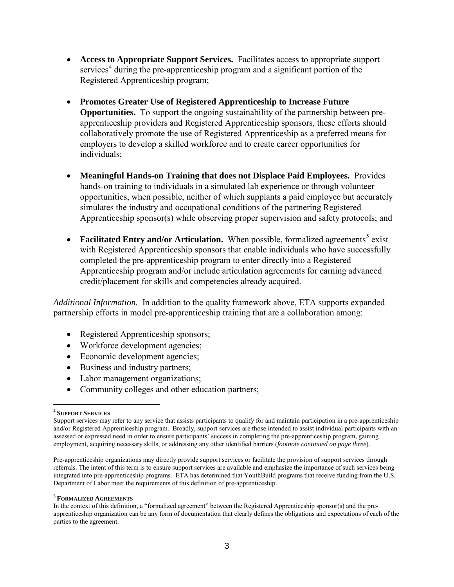- **Access to Appropriate Support Services.** Facilitates access to appropriate support services<sup>[4](#page-2-0)</sup> during the pre-apprenticeship program and a significant portion of the Registered Apprenticeship program;
- **Promotes Greater Use of Registered Apprenticeship to Increase Future Opportunities.** To support the ongoing sustainability of the partnership between preapprenticeship providers and Registered Apprenticeship sponsors, these efforts should collaboratively promote the use of Registered Apprenticeship as a preferred means for employers to develop a skilled workforce and to create career opportunities for individuals;
- **Meaningful Hands-on Training that does not Displace Paid Employees.** Provides hands-on training to individuals in a simulated lab experience or through volunteer opportunities, when possible, neither of which supplants a paid employee but accurately simulates the industry and occupational conditions of the partnering Registered Apprenticeship sponsor(s) while observing proper supervision and safety protocols; and
- **Facilitated Entry and/or Articulation.** When possible, formalized agreements<sup>[5](#page-2-1)</sup> exist with Registered Apprenticeship sponsors that enable individuals who have successfully completed the pre-apprenticeship program to enter directly into a Registered Apprenticeship program and/or include articulation agreements for earning advanced credit/placement for skills and competencies already acquired.

*Additional Information.* In addition to the quality framework above, ETA supports expanded partnership efforts in model pre-apprenticeship training that are a collaboration among:

- Registered Apprenticeship sponsors;
- Workforce development agencies;
- Economic development agencies;
- Business and industry partners;
- Labor management organizations;
- Community colleges and other education partners;

 $\frac{1}{\epsilon}$ **<sup>4</sup> SUPPORT SERVICES** 

<span id="page-2-0"></span>Support services may refer to any service that assists participants to qualify for and maintain participation in a pre-apprenticeship and/or Registered Apprenticeship program. Broadly, support services are those intended to assist individual participants with an assessed or expressed need in order to ensure participants' success in completing the pre-apprenticeship program, gaining employment, acquiring necessary skills, or addressing any other identified barriers (*footnote continued on page three*).

Pre-apprenticeship organizations may directly provide support services or facilitate the provision of support services through referrals. The intent of this term is to ensure support services are available and emphasize the importance of such services being integrated into pre-apprenticeship programs. ETA has determined that YouthBuild programs that receive funding from the U.S. Department of Labor meet the requirements of this definition of pre-apprenticeship.

<span id="page-2-1"></span>**<sup>5</sup> FORMALIZED AGREEMENTS**

In the context of this definition, a "formalized agreement" between the Registered Apprenticeship sponsor(s) and the preapprenticeship organization can be any form of documentation that clearly defines the obligations and expectations of each of the parties to the agreement.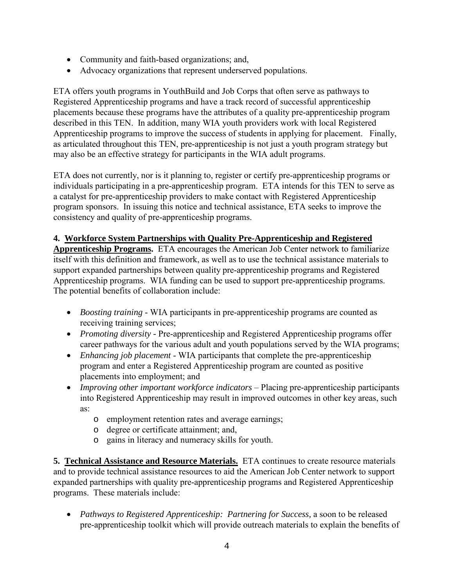- Community and faith-based organizations; and,
- Advocacy organizations that represent underserved populations.

ETA offers youth programs in YouthBuild and Job Corps that often serve as pathways to Registered Apprenticeship programs and have a track record of successful apprenticeship placements because these programs have the attributes of a quality pre-apprenticeship program described in this TEN. In addition, many WIA youth providers work with local Registered Apprenticeship programs to improve the success of students in applying for placement. Finally, as articulated throughout this TEN, pre-apprenticeship is not just a youth program strategy but may also be an effective strategy for participants in the WIA adult programs.

ETA does not currently, nor is it planning to, register or certify pre-apprenticeship programs or individuals participating in a pre-apprenticeship program. ETA intends for this TEN to serve as a catalyst for pre-apprenticeship providers to make contact with Registered Apprenticeship program sponsors. In issuing this notice and technical assistance, ETA seeks to improve the consistency and quality of pre-apprenticeship programs.

## **4. Workforce System Partnerships with Quality Pre-Apprenticeship and Registered**

**Apprenticeship Programs.** ETA encourages the American Job Center network to familiarize itself with this definition and framework, as well as to use the technical assistance materials to support expanded partnerships between quality pre-apprenticeship programs and Registered Apprenticeship programs. WIA funding can be used to support pre-apprenticeship programs. The potential benefits of collaboration include:

- *Boosting training* WIA participants in pre-apprenticeship programs are counted as receiving training services;
- *Promoting diversity* Pre-apprenticeship and Registered Apprenticeship programs offer career pathways for the various adult and youth populations served by the WIA programs;
- *Enhancing job placement* WIA participants that complete the pre-apprenticeship program and enter a Registered Apprenticeship program are counted as positive placements into employment; and
- *Improving other important workforce indicators* Placing pre-apprenticeship participants into Registered Apprenticeship may result in improved outcomes in other key areas, such as:
	- o employment retention rates and average earnings;
	- o degree or certificate attainment; and,
	- o gains in literacy and numeracy skills for youth.

**5. Technical Assistance and Resource Materials.** ETA continues to create resource materials and to provide technical assistance resources to aid the American Job Center network to support expanded partnerships with quality pre-apprenticeship programs and Registered Apprenticeship programs. These materials include:

• *Pathways to Registered Apprenticeship: Partnering for Success, a soon to be released* pre-apprenticeship toolkit which will provide outreach materials to explain the benefits of